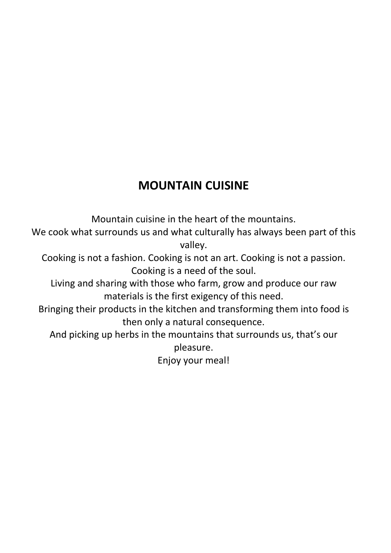# **MOUNTAIN CUISINE**

Mountain cuisine in the heart of the mountains.

We cook what surrounds us and what culturally has always been part of this valley.

Cooking is not a fashion. Cooking is not an art. Cooking is not a passion. Cooking is a need of the soul.

Living and sharing with those who farm, grow and produce our raw materials is the first exigency of this need.

Bringing their products in the kitchen and transforming them into food is then only a natural consequence.

And picking up herbs in the mountains that surrounds us, that's our pleasure.

Enjoy your meal!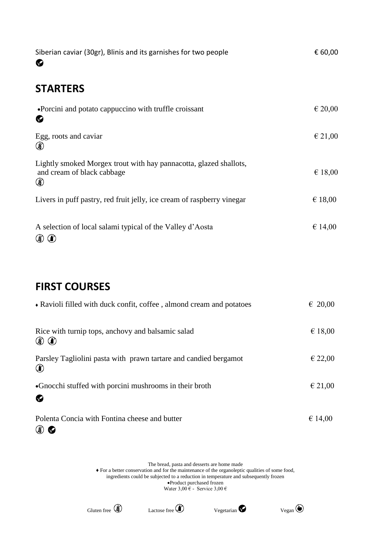| Siberian caviar (30gr), Blinis and its garnishes for two people<br>❤                                 | € 60,00          |
|------------------------------------------------------------------------------------------------------|------------------|
| <b>STARTERS</b>                                                                                      |                  |
| •Porcini and potato cappuccino with truffle croissant<br>❤                                           | $\epsilon$ 20,00 |
| Egg, roots and caviar<br>$\circledS$                                                                 | € 21,00          |
| Lightly smoked Morgex trout with hay pannacotta, glazed shallots,<br>and cream of black cabbage<br>৩ | € 18,00          |
| Livers in puff pastry, red fruit jelly, ice cream of raspberry vinegar                               | € 18,00          |
| A selection of local salami typical of the Valley d'Aosta<br>$\circledast$ $\circledast$             | € 14,00          |

## **FIRST COURSES**

| • Ravioli filled with duck confit, coffee, almond cream and potatoes           | $\epsilon$ 20,00 |
|--------------------------------------------------------------------------------|------------------|
| Rice with turnip tops, anchovy and balsamic salad<br>$\circledast$             | € 18,00          |
| Parsley Tagliolini pasta with prawn tartare and candied bergamot<br>$^{\circ}$ | € 22,00          |
| •Gnocchi stuffed with porcini mushrooms in their broth<br>Ø                    | € 21,00          |
| Polenta Concia with Fontina cheese and butter<br>(∛)                           | € 14,00          |

The bread, pasta and desserts are home made ♦ For a better conservation and for the maintenance of the organoleptic qualities of some food, ingredients could be subjected to a reduction in temperature and subsequently frozen Product purchased frozen Water  $3,00 \in$  - Service  $3,00 \in$ 



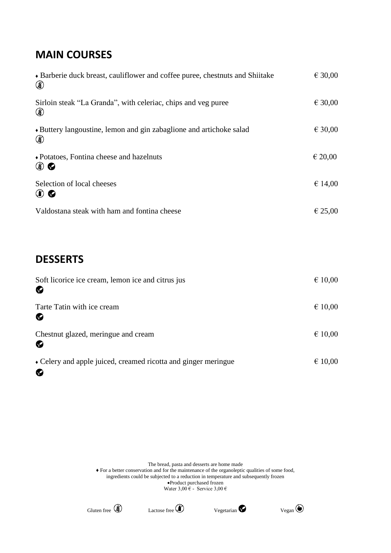## **MAIN COURSES**

| • Barberie duck breast, cauliflower and coffee puree, chestnuts and Shiitake<br>$\circledast$ | € 30,00          |
|-----------------------------------------------------------------------------------------------|------------------|
| Sirloin steak "La Granda", with celeriac, chips and veg puree<br>⊛                            | € 30,00          |
| • Buttery langoustine, lemon and gin zabaglione and artichoke salad<br>$\circledast$          | € 30,00          |
| ◆ Potatoes, Fontina cheese and hazelnuts<br>$\circledcirc$                                    | $\epsilon$ 20,00 |
| Selection of local cheeses<br>$\mathbf \Phi$                                                  | € 14,00          |
| Valdostana steak with ham and fontina cheese                                                  | € 25,00          |

### **DESSERTS**

| Soft licorice ice cream, lemon ice and citrus jus<br>❤              | € 10,00 |
|---------------------------------------------------------------------|---------|
| Tarte Tatin with ice cream<br>◙                                     | € 10,00 |
| Chestnut glazed, meringue and cream<br>◙                            | € 10,00 |
| • Celery and apple juiced, creamed ricotta and ginger meringue<br>Ø | € 10,00 |

The bread, pasta and desserts are home made ♦ For a better conservation and for the maintenance of the organoleptic qualities of some food, ingredients could be subjected to a reduction in temperature and subsequently frozen Product purchased frozen Water  $3,00 \in$  - Service  $3,00 \in$